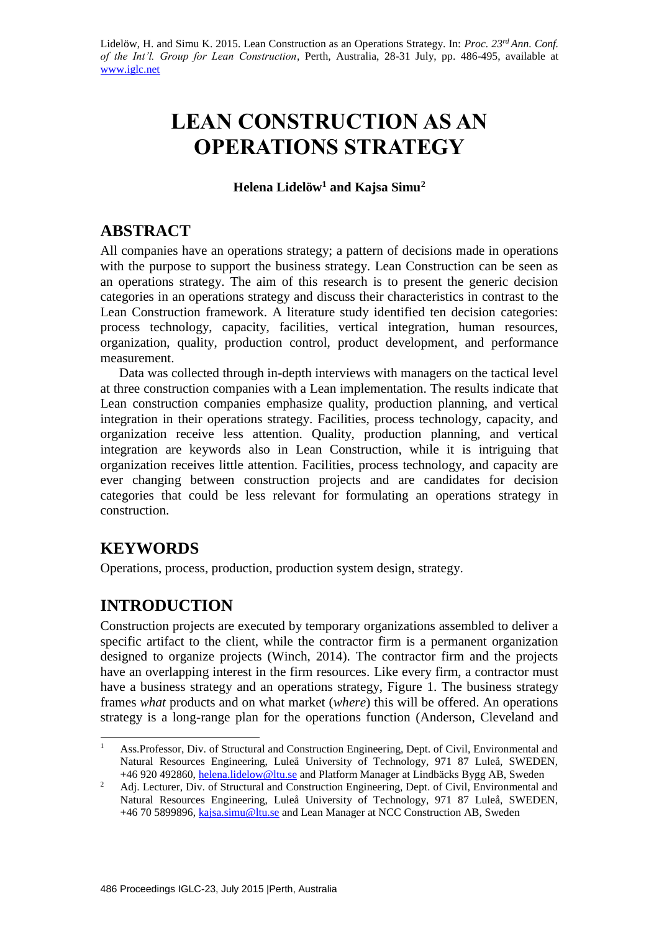# **LEAN CONSTRUCTION AS AN OPERATIONS STRATEGY**

**Helena Lidelöw<sup>1</sup> and Kajsa Simu<sup>2</sup>**

## **ABSTRACT**

All companies have an operations strategy; a pattern of decisions made in operations with the purpose to support the business strategy. Lean Construction can be seen as an operations strategy. The aim of this research is to present the generic decision categories in an operations strategy and discuss their characteristics in contrast to the Lean Construction framework. A literature study identified ten decision categories: process technology, capacity, facilities, vertical integration, human resources, organization, quality, production control, product development, and performance measurement.

Data was collected through in-depth interviews with managers on the tactical level at three construction companies with a Lean implementation. The results indicate that Lean construction companies emphasize quality, production planning, and vertical integration in their operations strategy. Facilities, process technology, capacity, and organization receive less attention. Quality, production planning, and vertical integration are keywords also in Lean Construction, while it is intriguing that organization receives little attention. Facilities, process technology, and capacity are ever changing between construction projects and are candidates for decision categories that could be less relevant for formulating an operations strategy in construction.

## **KEYWORDS**

-

Operations, process, production, production system design, strategy.

## **INTRODUCTION**

Construction projects are executed by temporary organizations assembled to deliver a specific artifact to the client, while the contractor firm is a permanent organization designed to organize projects (Winch, 2014). The contractor firm and the projects have an overlapping interest in the firm resources. Like every firm, a contractor must have a business strategy and an operations strategy, Figure 1. The business strategy frames *what* products and on what market (*where*) this will be offered. An operations strategy is a long-range plan for the operations function (Anderson, Cleveland and

<sup>1</sup> Ass.Professor, Div. of Structural and Construction Engineering, Dept. of Civil, Environmental and Natural Resources Engineering, Luleå University of Technology, 971 87 Luleå, SWEDEN, +46 920 492860, [helena.lidelow@ltu.se](mailto:helena.lidelow@ltu.se) and Platform Manager at Lindbäcks Bygg AB, Sweden

<sup>&</sup>lt;sup>2</sup> Adj. Lecturer, Div. of Structural and Construction Engineering, Dept. of Civil, Environmental and Natural Resources Engineering, Luleå University of Technology, 971 87 Luleå, SWEDEN, +46 70 5899896, [kajsa.simu@ltu.se](mailto:kajsa.simu@ltu.se) and Lean Manager at NCC Construction AB, Sweden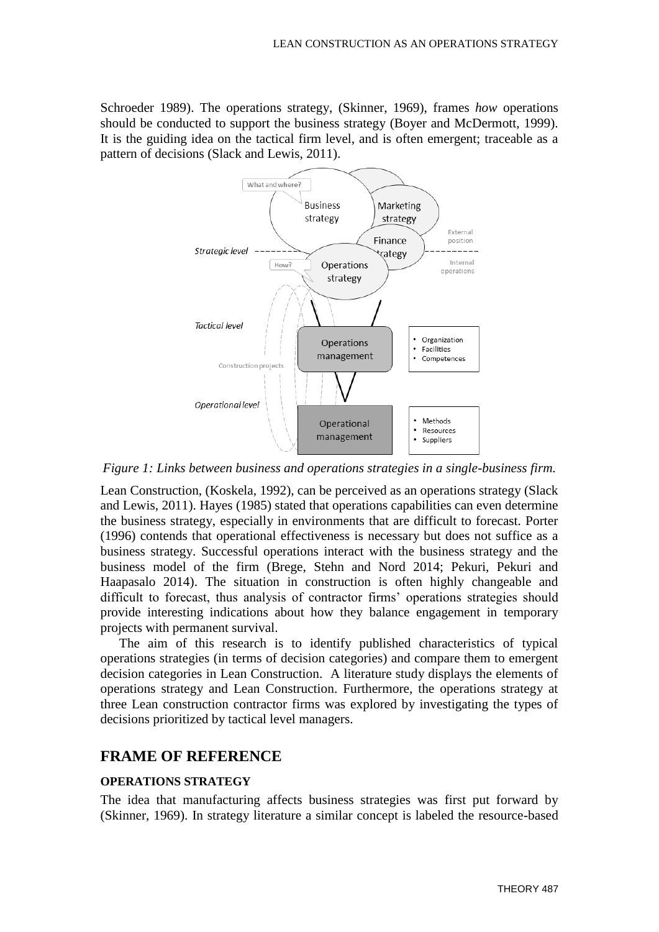Schroeder 1989). The operations strategy, (Skinner, 1969), frames *how* operations should be conducted to support the business strategy (Boyer and McDermott, 1999). It is the guiding idea on the tactical firm level, and is often emergent; traceable as a pattern of decisions (Slack and Lewis, 2011).



*Figure 1: Links between business and operations strategies in a single-business firm.*

Lean Construction, (Koskela, 1992), can be perceived as an operations strategy (Slack and Lewis, 2011). Hayes (1985) stated that operations capabilities can even determine the business strategy, especially in environments that are difficult to forecast. Porter (1996) contends that operational effectiveness is necessary but does not suffice as a business strategy. Successful operations interact with the business strategy and the business model of the firm (Brege, Stehn and Nord 2014; Pekuri, Pekuri and Haapasalo 2014). The situation in construction is often highly changeable and difficult to forecast, thus analysis of contractor firms' operations strategies should provide interesting indications about how they balance engagement in temporary projects with permanent survival.

The aim of this research is to identify published characteristics of typical operations strategies (in terms of decision categories) and compare them to emergent decision categories in Lean Construction. A literature study displays the elements of operations strategy and Lean Construction. Furthermore, the operations strategy at three Lean construction contractor firms was explored by investigating the types of decisions prioritized by tactical level managers.

#### **FRAME OF REFERENCE**

#### **OPERATIONS STRATEGY**

The idea that manufacturing affects business strategies was first put forward by (Skinner, 1969). In strategy literature a similar concept is labeled the resource-based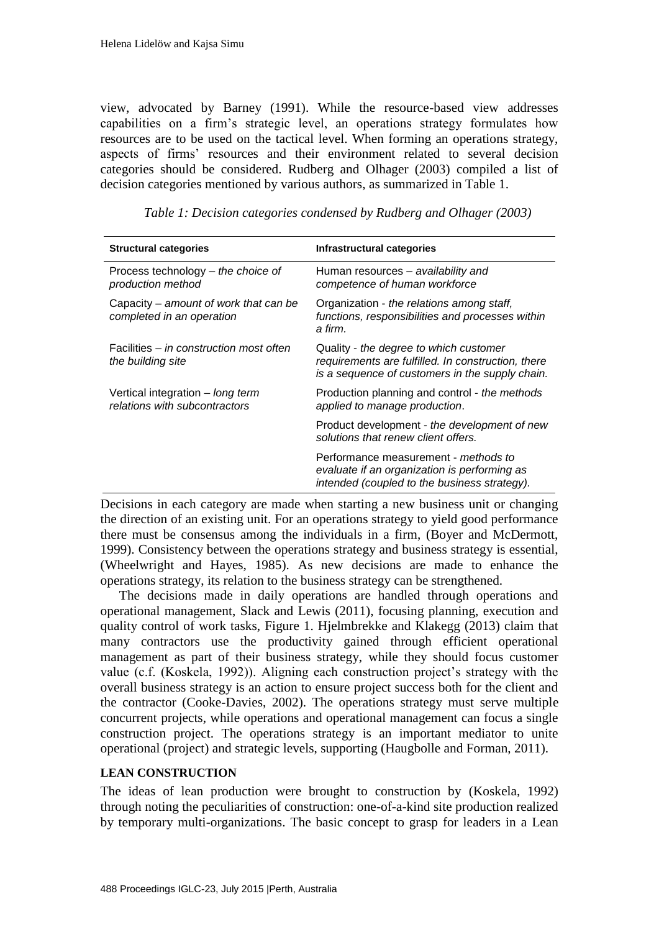view, advocated by Barney (1991). While the resource-based view addresses capabilities on a firm's strategic level, an operations strategy formulates how resources are to be used on the tactical level. When forming an operations strategy, aspects of firms' resources and their environment related to several decision categories should be considered. Rudberg and Olhager (2003) compiled a list of decision categories mentioned by various authors, as summarized in Table 1.

| <b>Structural categories</b>                                       | Infrastructural categories                                                                                                                      |
|--------------------------------------------------------------------|-------------------------------------------------------------------------------------------------------------------------------------------------|
| Process technology – the choice of<br>production method            | Human resources - availability and<br>competence of human workforce                                                                             |
| Capacity – amount of work that can be<br>completed in an operation | Organization - the relations among staff,<br>functions, responsibilities and processes within<br>a firm.                                        |
| Facilities – in construction most often<br>the building site       | Quality - the degree to which customer<br>requirements are fulfilled. In construction, there<br>is a sequence of customers in the supply chain. |
| Vertical integration - long term<br>relations with subcontractors  | Production planning and control - the methods<br>applied to manage production.                                                                  |
|                                                                    | Product development - the development of new<br>solutions that renew client offers.                                                             |
|                                                                    | Performance measurement - methods to<br>evaluate if an organization is performing as<br>intended (coupled to the business strategy).            |

 *Table 1: Decision categories condensed by Rudberg and Olhager (2003)*

Decisions in each category are made when starting a new business unit or changing the direction of an existing unit. For an operations strategy to yield good performance there must be consensus among the individuals in a firm, (Boyer and McDermott, 1999). Consistency between the operations strategy and business strategy is essential, (Wheelwright and Hayes, 1985). As new decisions are made to enhance the operations strategy, its relation to the business strategy can be strengthened.

The decisions made in daily operations are handled through operations and operational management, Slack and Lewis (2011), focusing planning, execution and quality control of work tasks, Figure 1. Hjelmbrekke and Klakegg (2013) claim that many contractors use the productivity gained through efficient operational management as part of their business strategy, while they should focus customer value (c.f. (Koskela, 1992)). Aligning each construction project's strategy with the overall business strategy is an action to ensure project success both for the client and the contractor (Cooke-Davies, 2002). The operations strategy must serve multiple concurrent projects, while operations and operational management can focus a single construction project. The operations strategy is an important mediator to unite operational (project) and strategic levels, supporting (Haugbolle and Forman, 2011).

### **LEAN CONSTRUCTION**

The ideas of lean production were brought to construction by (Koskela, 1992) through noting the peculiarities of construction: one-of-a-kind site production realized by temporary multi-organizations. The basic concept to grasp for leaders in a Lean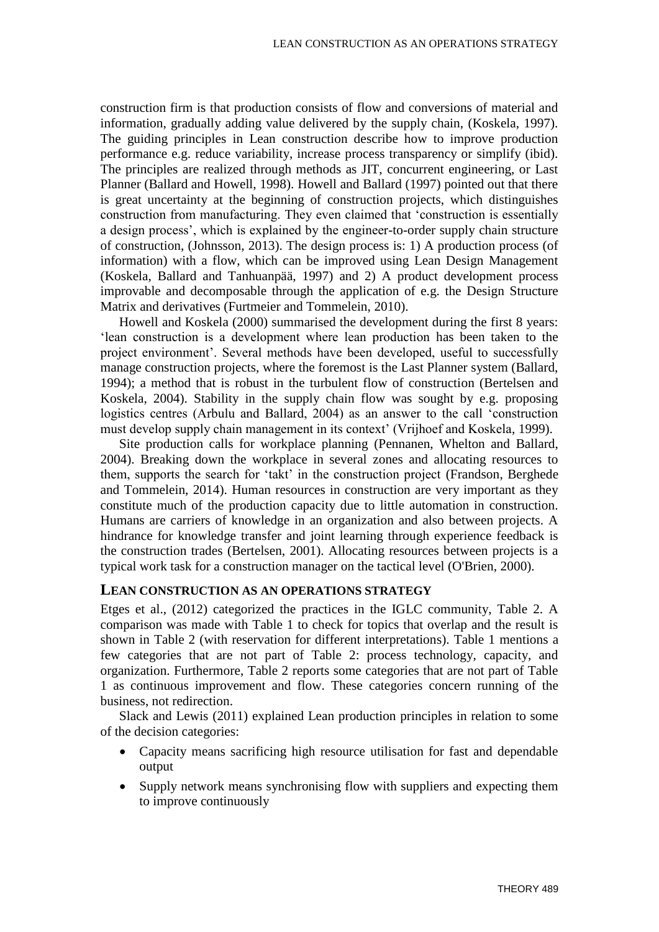construction firm is that production consists of flow and conversions of material and information, gradually adding value delivered by the supply chain, (Koskela, 1997). The guiding principles in Lean construction describe how to improve production performance e.g. reduce variability, increase process transparency or simplify (ibid). The principles are realized through methods as JIT, concurrent engineering, or Last Planner (Ballard and Howell, 1998). Howell and Ballard (1997) pointed out that there is great uncertainty at the beginning of construction projects, which distinguishes construction from manufacturing. They even claimed that 'construction is essentially a design process', which is explained by the engineer-to-order supply chain structure of construction, (Johnsson, 2013). The design process is: 1) A production process (of information) with a flow, which can be improved using Lean Design Management (Koskela, Ballard and Tanhuanpää, 1997) and 2) A product development process improvable and decomposable through the application of e.g. the Design Structure Matrix and derivatives (Furtmeier and Tommelein, 2010).

Howell and Koskela (2000) summarised the development during the first 8 years: 'lean construction is a development where lean production has been taken to the project environment'. Several methods have been developed, useful to successfully manage construction projects, where the foremost is the Last Planner system (Ballard, 1994); a method that is robust in the turbulent flow of construction (Bertelsen and Koskela, 2004). Stability in the supply chain flow was sought by e.g. proposing logistics centres (Arbulu and Ballard, 2004) as an answer to the call 'construction must develop supply chain management in its context' (Vrijhoef and Koskela, 1999).

Site production calls for workplace planning (Pennanen, Whelton and Ballard, 2004). Breaking down the workplace in several zones and allocating resources to them, supports the search for 'takt' in the construction project (Frandson, Berghede and Tommelein, 2014). Human resources in construction are very important as they constitute much of the production capacity due to little automation in construction. Humans are carriers of knowledge in an organization and also between projects. A hindrance for knowledge transfer and joint learning through experience feedback is the construction trades (Bertelsen, 2001). Allocating resources between projects is a typical work task for a construction manager on the tactical level (O'Brien, 2000).

#### **LEAN CONSTRUCTION AS AN OPERATIONS STRATEGY**

Etges et al., (2012) categorized the practices in the IGLC community, Table 2. A comparison was made with Table 1 to check for topics that overlap and the result is shown in Table 2 (with reservation for different interpretations). Table 1 mentions a few categories that are not part of Table 2: process technology, capacity, and organization. Furthermore, Table 2 reports some categories that are not part of Table 1 as continuous improvement and flow. These categories concern running of the business, not redirection.

Slack and Lewis (2011) explained Lean production principles in relation to some of the decision categories:

- Capacity means sacrificing high resource utilisation for fast and dependable output
- Supply network means synchronising flow with suppliers and expecting them to improve continuously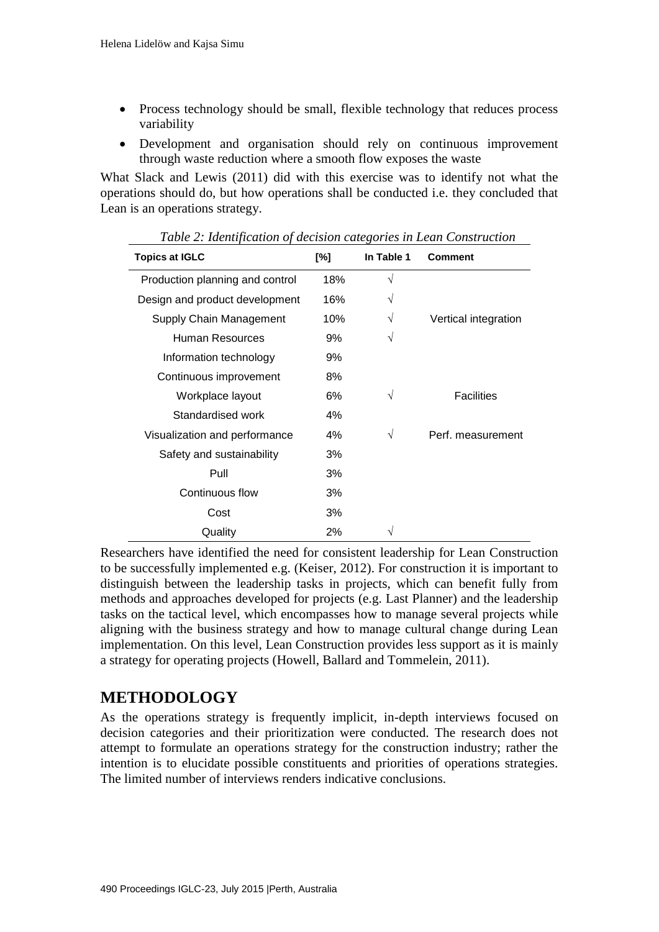- Process technology should be small, flexible technology that reduces process variability
- Development and organisation should rely on continuous improvement through waste reduction where a smooth flow exposes the waste

What Slack and Lewis (2011) did with this exercise was to identify not what the operations should do, but how operations shall be conducted i.e. they concluded that Lean is an operations strategy.

| <b>Topics at IGLC</b>           | [%]     | In Table 1 | <b>Comment</b>       |
|---------------------------------|---------|------------|----------------------|
| Production planning and control | 18%     | $\sqrt{}$  |                      |
| Design and product development  | 16%     | V          |                      |
| Supply Chain Management         | 10%     | V          | Vertical integration |
| Human Resources                 | 9%      | V          |                      |
| Information technology          | 9%      |            |                      |
| Continuous improvement          | 8%      |            |                      |
| Workplace layout                | 6%      | V          | <b>Facilities</b>    |
| Standardised work               | 4%      |            |                      |
| Visualization and performance   | 4%<br>V |            | Perf. measurement    |
| 3%<br>Safety and sustainability |         |            |                      |
| Pull                            | 3%      |            |                      |
| Continuous flow                 | 3%      |            |                      |
| Cost                            | 3%      |            |                      |
| Quality                         | 2%      | V          |                      |

 *Table 2: Identification of decision categories in Lean Construction*

Researchers have identified the need for consistent leadership for Lean Construction to be successfully implemented e.g. (Keiser, 2012). For construction it is important to distinguish between the leadership tasks in projects, which can benefit fully from methods and approaches developed for projects (e.g. Last Planner) and the leadership tasks on the tactical level, which encompasses how to manage several projects while aligning with the business strategy and how to manage cultural change during Lean implementation. On this level, Lean Construction provides less support as it is mainly a strategy for operating projects (Howell, Ballard and Tommelein, 2011).

## **METHODOLOGY**

As the operations strategy is frequently implicit, in-depth interviews focused on decision categories and their prioritization were conducted. The research does not attempt to formulate an operations strategy for the construction industry; rather the intention is to elucidate possible constituents and priorities of operations strategies. The limited number of interviews renders indicative conclusions.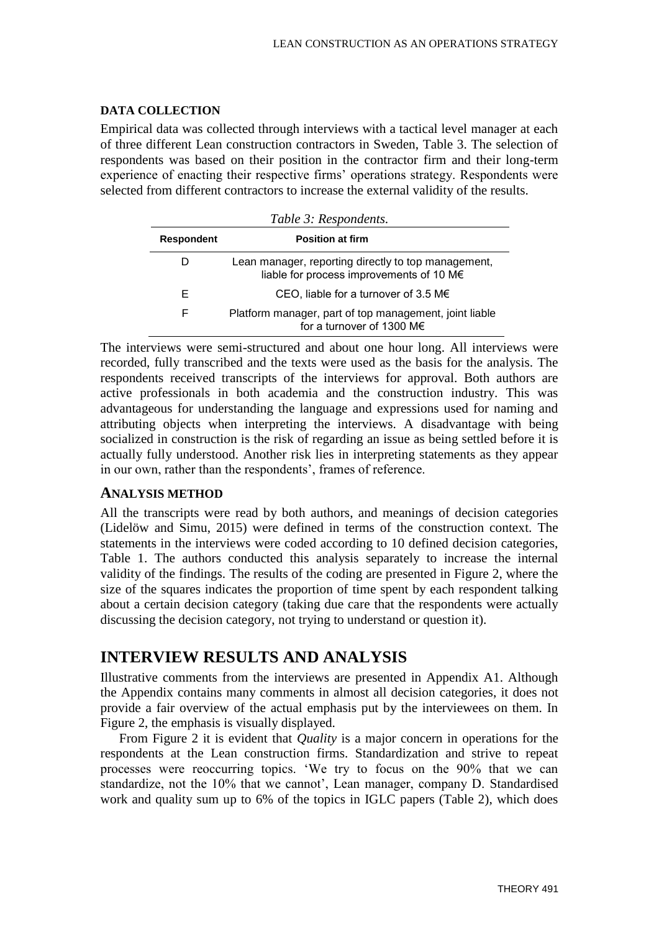#### **DATA COLLECTION**

Empirical data was collected through interviews with a tactical level manager at each of three different Lean construction contractors in Sweden, Table 3. The selection of respondents was based on their position in the contractor firm and their long-term experience of enacting their respective firms' operations strategy. Respondents were selected from different contractors to increase the external validity of the results.

| Table 3: Respondents. |                                                                                                 |  |
|-----------------------|-------------------------------------------------------------------------------------------------|--|
| <b>Respondent</b>     | <b>Position at firm</b>                                                                         |  |
|                       | Lean manager, reporting directly to top management,<br>liable for process improvements of 10 M€ |  |
| F                     | CEO, liable for a turnover of 3.5 M€                                                            |  |
| F                     | Platform manager, part of top management, joint liable<br>for a turnover of 1300 M $\epsilon$   |  |

The interviews were semi-structured and about one hour long. All interviews were recorded, fully transcribed and the texts were used as the basis for the analysis. The respondents received transcripts of the interviews for approval. Both authors are active professionals in both academia and the construction industry. This was advantageous for understanding the language and expressions used for naming and attributing objects when interpreting the interviews. A disadvantage with being socialized in construction is the risk of regarding an issue as being settled before it is actually fully understood. Another risk lies in interpreting statements as they appear in our own, rather than the respondents', frames of reference.

#### **ANALYSIS METHOD**

All the transcripts were read by both authors, and meanings of decision categories (Lidelöw and Simu, 2015) were defined in terms of the construction context. The statements in the interviews were coded according to 10 defined decision categories, Table 1. The authors conducted this analysis separately to increase the internal validity of the findings. The results of the coding are presented in Figure 2, where the size of the squares indicates the proportion of time spent by each respondent talking about a certain decision category (taking due care that the respondents were actually discussing the decision category, not trying to understand or question it).

## **INTERVIEW RESULTS AND ANALYSIS**

Illustrative comments from the interviews are presented in Appendix A1. Although the Appendix contains many comments in almost all decision categories, it does not provide a fair overview of the actual emphasis put by the interviewees on them. In Figure 2, the emphasis is visually displayed.

From Figure 2 it is evident that *Quality* is a major concern in operations for the respondents at the Lean construction firms. Standardization and strive to repeat processes were reoccurring topics. 'We try to focus on the 90% that we can standardize, not the 10% that we cannot', Lean manager, company D. Standardised work and quality sum up to 6% of the topics in IGLC papers (Table 2), which does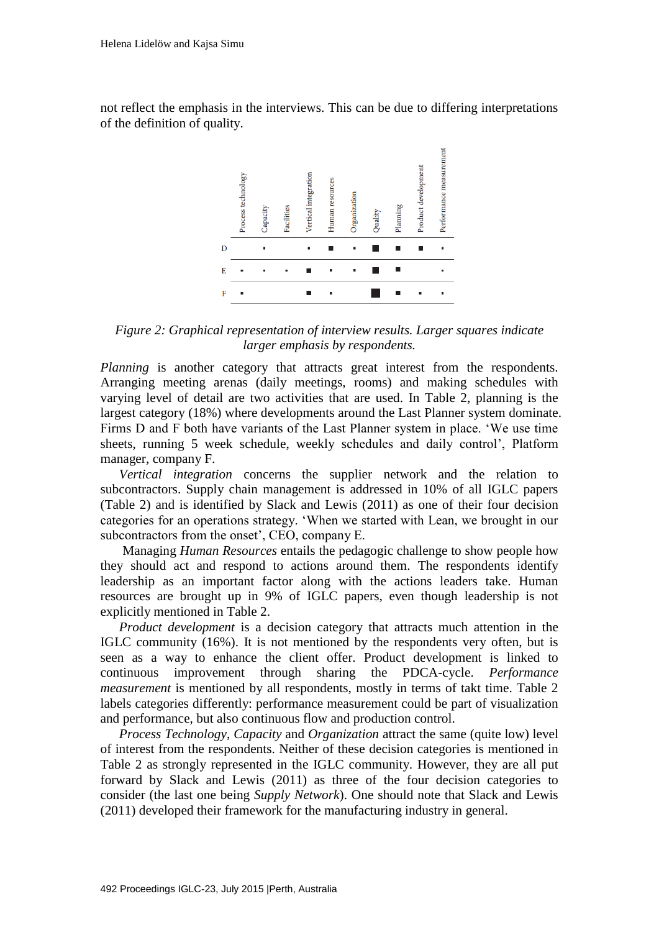not reflect the emphasis in the interviews. This can be due to differing interpretations of the definition of quality.



*Figure 2: Graphical representation of interview results. Larger squares indicate larger emphasis by respondents.*

*Planning* is another category that attracts great interest from the respondents. Arranging meeting arenas (daily meetings, rooms) and making schedules with varying level of detail are two activities that are used. In Table 2, planning is the largest category (18%) where developments around the Last Planner system dominate. Firms D and F both have variants of the Last Planner system in place. 'We use time sheets, running 5 week schedule, weekly schedules and daily control', Platform manager, company F.

*Vertical integration* concerns the supplier network and the relation to subcontractors. Supply chain management is addressed in 10% of all IGLC papers (Table 2) and is identified by Slack and Lewis (2011) as one of their four decision categories for an operations strategy. 'When we started with Lean, we brought in our subcontractors from the onset', CEO, company E.

Managing *Human Resources* entails the pedagogic challenge to show people how they should act and respond to actions around them. The respondents identify leadership as an important factor along with the actions leaders take. Human resources are brought up in 9% of IGLC papers, even though leadership is not explicitly mentioned in Table 2.

*Product development* is a decision category that attracts much attention in the IGLC community (16%). It is not mentioned by the respondents very often, but is seen as a way to enhance the client offer. Product development is linked to continuous improvement through sharing the PDCA-cycle. *Performance measurement* is mentioned by all respondents, mostly in terms of takt time. Table 2 labels categories differently: performance measurement could be part of visualization and performance, but also continuous flow and production control.

*Process Technology*, *Capacity* and *Organization* attract the same (quite low) level of interest from the respondents. Neither of these decision categories is mentioned in Table 2 as strongly represented in the IGLC community. However, they are all put forward by Slack and Lewis (2011) as three of the four decision categories to consider (the last one being *Supply Network*). One should note that Slack and Lewis (2011) developed their framework for the manufacturing industry in general.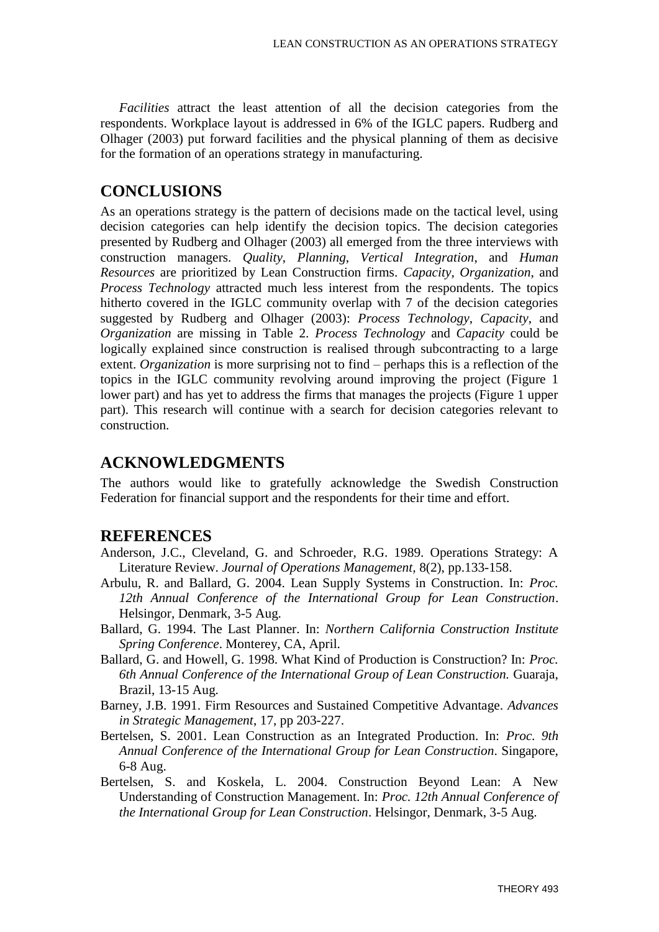*Facilities* attract the least attention of all the decision categories from the respondents. Workplace layout is addressed in 6% of the IGLC papers. Rudberg and Olhager (2003) put forward facilities and the physical planning of them as decisive for the formation of an operations strategy in manufacturing.

## **CONCLUSIONS**

As an operations strategy is the pattern of decisions made on the tactical level, using decision categories can help identify the decision topics. The decision categories presented by Rudberg and Olhager (2003) all emerged from the three interviews with construction managers. *Quality*, *Planning*, *Vertical Integration*, and *Human Resources* are prioritized by Lean Construction firms. *Capacity*, *Organization*, and *Process Technology* attracted much less interest from the respondents. The topics hitherto covered in the IGLC community overlap with 7 of the decision categories suggested by Rudberg and Olhager (2003): *Process Technology*, *Capacity*, and *Organization* are missing in Table 2. *Process Technology* and *Capacity* could be logically explained since construction is realised through subcontracting to a large extent. *Organization* is more surprising not to find – perhaps this is a reflection of the topics in the IGLC community revolving around improving the project (Figure 1 lower part) and has yet to address the firms that manages the projects (Figure 1 upper part). This research will continue with a search for decision categories relevant to construction.

### **ACKNOWLEDGMENTS**

The authors would like to gratefully acknowledge the Swedish Construction Federation for financial support and the respondents for their time and effort.

### **REFERENCES**

- Anderson, J.C., Cleveland, G. and Schroeder, R.G. 1989. Operations Strategy: A Literature Review. *Journal of Operations Management,* 8(2), pp.133-158.
- Arbulu, R. and Ballard, G. 2004. Lean Supply Systems in Construction. In: *Proc. 12th Annual Conference of the International Group for Lean Construction*. Helsingor, Denmark, 3-5 Aug.
- Ballard, G. 1994. The Last Planner. In: *Northern California Construction Institute Spring Conference*. Monterey, CA, April.
- Ballard, G. and Howell, G. 1998. What Kind of Production is Construction? In: *Proc. 6th Annual Conference of the International Group of Lean Construction.* Guaraja, Brazil, 13-15 Aug.
- Barney, J.B. 1991. Firm Resources and Sustained Competitive Advantage. *Advances in Strategic Management*, 17, pp 203-227.
- Bertelsen, S. 2001. Lean Construction as an Integrated Production. In: *Proc. 9th Annual Conference of the International Group for Lean Construction*. Singapore, 6-8 Aug.
- Bertelsen, S. and Koskela, L. 2004. Construction Beyond Lean: A New Understanding of Construction Management. In: *Proc. 12th Annual Conference of the International Group for Lean Construction*. Helsingor, Denmark, 3-5 Aug.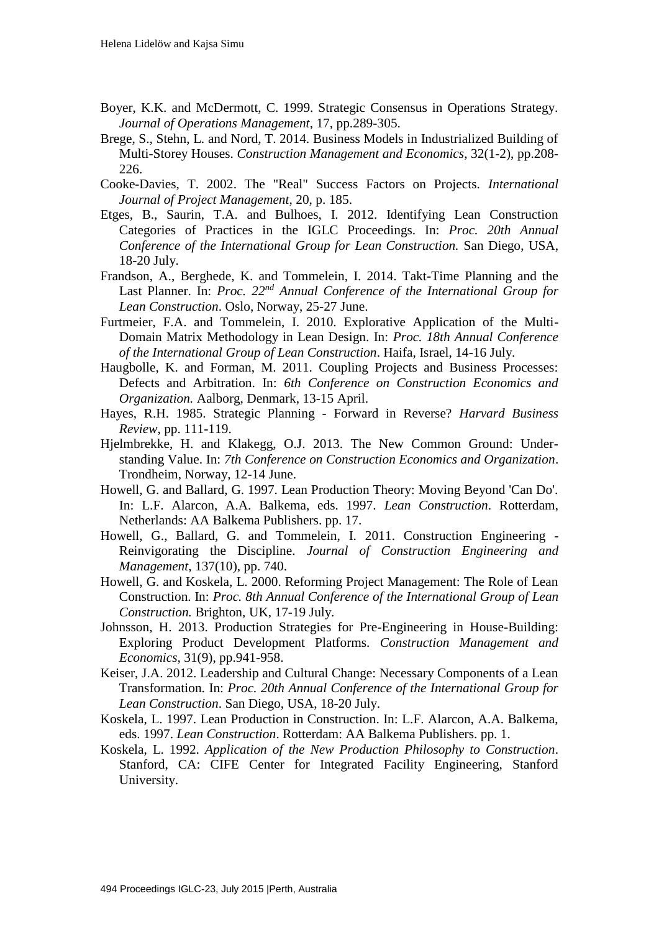- Boyer, K.K. and McDermott, C. 1999. Strategic Consensus in Operations Strategy. *Journal of Operations Management*, 17, pp.289-305.
- Brege, S., Stehn, L. and Nord, T. 2014. Business Models in Industrialized Building of Multi-Storey Houses. *Construction Management and Economics*, 32(1-2), pp.208- 226.
- Cooke-Davies, T. 2002. The "Real" Success Factors on Projects. *International Journal of Project Management*, 20, p. 185.
- Etges, B., Saurin, T.A. and Bulhoes, I. 2012. Identifying Lean Construction Categories of Practices in the IGLC Proceedings. In: *Proc. 20th Annual Conference of the International Group for Lean Construction.* San Diego, USA, 18-20 July.
- Frandson, A., Berghede, K. and Tommelein, I. 2014. Takt-Time Planning and the Last Planner. In: *Proc. 22nd Annual Conference of the International Group for Lean Construction*. Oslo, Norway, 25-27 June.
- Furtmeier, F.A. and Tommelein, I. 2010. Explorative Application of the Multi-Domain Matrix Methodology in Lean Design. In: *Proc. 18th Annual Conference of the International Group of Lean Construction*. Haifa, Israel, 14-16 July.
- Haugbolle, K. and Forman, M. 2011. Coupling Projects and Business Processes: Defects and Arbitration. In: *6th Conference on Construction Economics and Organization.* Aalborg, Denmark, 13-15 April.
- Hayes, R.H. 1985. Strategic Planning Forward in Reverse? *Harvard Business Review*, pp. 111-119.
- Hjelmbrekke, H. and Klakegg, O.J. 2013. The New Common Ground: Understanding Value. In: *7th Conference on Construction Economics and Organization*. Trondheim, Norway, 12-14 June.
- Howell, G. and Ballard, G. 1997. Lean Production Theory: Moving Beyond 'Can Do'. In: L.F. Alarcon, A.A. Balkema, eds. 1997. *Lean Construction*. Rotterdam, Netherlands: AA Balkema Publishers. pp. 17.
- Howell, G., Ballard, G. and Tommelein, I. 2011. Construction Engineering Reinvigorating the Discipline. *Journal of Construction Engineering and Management*, 137(10), pp. 740.
- Howell, G. and Koskela, L. 2000. Reforming Project Management: The Role of Lean Construction. In: *Proc. 8th Annual Conference of the International Group of Lean Construction.* Brighton, UK, 17-19 July.
- Johnsson, H. 2013. Production Strategies for Pre-Engineering in House-Building: Exploring Product Development Platforms. *Construction Management and Economics*, 31(9), pp.941-958.
- Keiser, J.A. 2012. Leadership and Cultural Change: Necessary Components of a Lean Transformation. In: *Proc. 20th Annual Conference of the International Group for Lean Construction*. San Diego, USA, 18-20 July.
- Koskela, L. 1997. Lean Production in Construction. In: L.F. Alarcon, A.A. Balkema, eds. 1997. *Lean Construction*. Rotterdam: AA Balkema Publishers. pp. 1.
- Koskela, L. 1992. *Application of the New Production Philosophy to Construction*. Stanford, CA: CIFE Center for Integrated Facility Engineering, Stanford University.